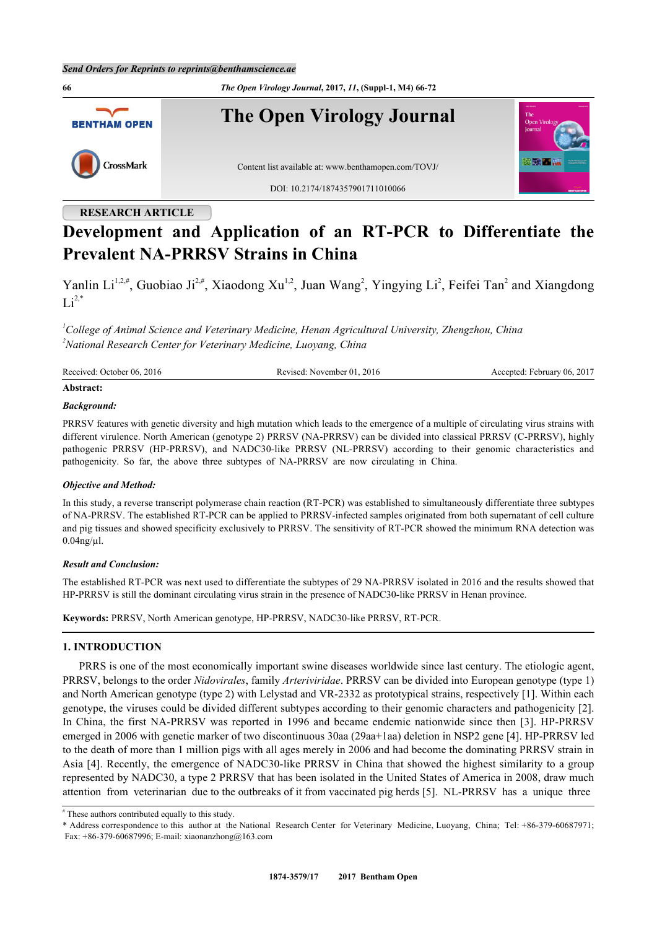**66** *The Open Virology Journal***, 2017,** *11***, (Suppl-1, M4) 66-72 The Open Virology Journal BENTHAM OPEN 05 No 215** CrossMark Content list available at: [www.benthamopen.com/TOVJ/](http://www.benthamopen.com/TOVJ/) DOI: [10.2174/1874357901711010066](http://dx.doi.org/10.2174/1874357901711010066)

## **RESEARCH ARTICLE**

# **Development and Application of an RT-PCR to Differentiate the Prevalent NA-PRRSV Strains in China**

Yanlin Li<sup>[1](#page-0-0),[2](#page-0-1),#</sup>, Guobiao Ji<sup>2,#</sup>, Xiaodong Xu<sup>1,2</sup>, Juan Wang<sup>2</sup>, Yingying Li<sup>2</sup>, Feifei Tan<sup>2</sup> and Xiangdong  $Li^{2,*}$  $Li^{2,*}$  $Li^{2,*}$  $Li^{2,*}$ 

<span id="page-0-1"></span><span id="page-0-0"></span>*<sup>1</sup>College of Animal Science and Veterinary Medicine, Henan Agricultural University, Zhengzhou, China <sup>2</sup>National Research Center for Veterinary Medicine, Luoyang, China*

| Received: 0<br>2016<br>October 06. | 2016<br>kevised:<br>November 01<br>л. | February 06, 2017<br>:cented: |
|------------------------------------|---------------------------------------|-------------------------------|
|                                    |                                       |                               |

## **Abstract:**

## *Background:*

PRRSV features with genetic diversity and high mutation which leads to the emergence of a multiple of circulating virus strains with different virulence. North American (genotype 2) PRRSV (NA-PRRSV) can be divided into classical PRRSV (C-PRRSV), highly pathogenic PRRSV (HP-PRRSV), and NADC30-like PRRSV (NL-PRRSV) according to their genomic characteristics and pathogenicity. So far, the above three subtypes of NA-PRRSV are now circulating in China.

## *Objective and Method:*

In this study, a reverse transcript polymerase chain reaction (RT-PCR) was established to simultaneously differentiate three subtypes of NA-PRRSV. The established RT-PCR can be applied to PRRSV-infected samples originated from both supernatant of cell culture and pig tissues and showed specificity exclusively to PRRSV. The sensitivity of RT-PCR showed the minimum RNA detection was  $0.04$ ng/µl.

## *Result and Conclusion:*

The established RT-PCR was next used to differentiate the subtypes of 29 NA-PRRSV isolated in 2016 and the results showed that HP-PRRSV is still the dominant circulating virus strain in the presence of NADC30-like PRRSV in Henan province.

**Keywords:** PRRSV, North American genotype, HP-PRRSV, NADC30-like PRRSV, RT-PCR.

## **1. INTRODUCTION**

PRRS is one of the most economically important swine diseases worldwide since last century. The etiologic agent, PRRSV, belongs to the order *Nidovirales*, family *Arteriviridae*. PRRSV can be divided into European genotype (type 1) and North American genotype (type 2) with Lelystad and VR-2332 as prototypical strains, respectively [\[1](#page-5-0)]. Within each genotype, the viruses could be divided different subtypes according to their genomic characters and pathogenicity [[2\]](#page-5-1). In China, the first NA-PRRSV was reported in 1996 and became endemic nationwide since then [[3](#page-5-2)]. HP-PRRSV emerged in 2006 with genetic marker of two discontinuous 30aa (29aa+1aa) deletion in NSP2 gene [\[4](#page-5-3)]. HP-PRRSV led to the death of more than 1 million pigs with all ages merely in 2006 and had become the dominating PRRSV strain in Asia [\[4](#page-5-3)]. Recently, the emergence of NADC30-like PRRSV in China that showed the highest similarity to a group represented by NADC30, a type 2 PRRSV that has been isolated in the United States of America in 2008, draw much attention from veterinarian due to the outbreaks of it from vaccinated pig herds [\[5](#page-5-4)]. NL-PRRSV has a unique three

<sup>#</sup> These authors contributed equally to this study.

<span id="page-0-2"></span><sup>\*</sup> Address correspondence to this author at the National Research Center for Veterinary Medicine, Luoyang, China; Tel: +86-379-60687971; Fax: +86-379-60687996; E-mail: [xiaonanzhong@163.com](mailto:xiaonanzhong@163.com)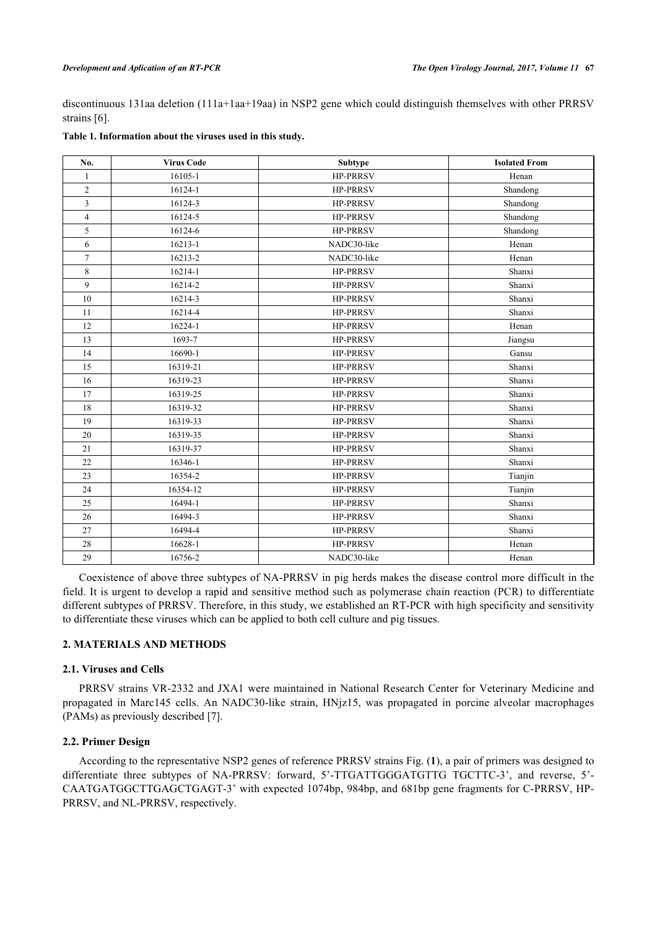discontinuous 131aa deletion (111a+1aa+19aa) in NSP2 gene which could distinguish themselves with other PRRSV strains [[6\]](#page-5-5).

| No.            | <b>Virus Code</b> | Subtype         | <b>Isolated From</b> |
|----------------|-------------------|-----------------|----------------------|
| $\mathbf{1}$   | 16105-1           | <b>HP-PRRSV</b> | Henan                |
| $\overline{2}$ | 16124-1           | <b>HP-PRRSV</b> | Shandong             |
| 3              | 16124-3           | <b>HP-PRRSV</b> | Shandong             |
| $\overline{4}$ | 16124-5           | <b>HP-PRRSV</b> | Shandong             |
| 5              | 16124-6           | <b>HP-PRRSV</b> | Shandong             |
| 6              | $16213 - 1$       | NADC30-like     | Henan                |
| $\overline{7}$ | 16213-2           | NADC30-like     | Henan                |
| 8              | 16214-1           | <b>HP-PRRSV</b> | Shanxi               |
| 9              | 16214-2           | <b>HP-PRRSV</b> | Shanxi               |
| $10\,$         | 16214-3           | <b>HP-PRRSV</b> | Shanxi               |
| 11             | 16214-4           | <b>HP-PRRSV</b> | Shanxi               |
| 12             | 16224-1           | <b>HP-PRRSV</b> | Henan                |
| 13             | 1693-7            | <b>HP-PRRSV</b> | Jiangsu              |
| 14             | 16690-1           | <b>HP-PRRSV</b> | Gansu                |
| 15             | 16319-21          | <b>HP-PRRSV</b> | Shanxi               |
| 16             | 16319-23          | <b>HP-PRRSV</b> | Shanxi               |
| 17             | 16319-25          | <b>HP-PRRSV</b> | Shanxi               |
| 18             | 16319-32          | <b>HP-PRRSV</b> | Shanxi               |
| 19             | 16319-33          | <b>HP-PRRSV</b> | Shanxi               |
| 20             | 16319-35          | <b>HP-PRRSV</b> | Shanxi               |
| 21             | 16319-37          | <b>HP-PRRSV</b> | Shanxi               |
| 22             | 16346-1           | <b>HP-PRRSV</b> | Shanxi               |
| 23             | 16354-2           | <b>HP-PRRSV</b> | Tianjin              |
| 24             | 16354-12          | <b>HP-PRRSV</b> | Tianjin              |
| 25             | 16494-1           | <b>HP-PRRSV</b> | Shanxi               |
| 26             | 16494-3           | <b>HP-PRRSV</b> | Shanxi               |
| 27             | 16494-4           | <b>HP-PRRSV</b> | Shanxi               |
| 28             | 16628-1           | <b>HP-PRRSV</b> | Henan                |
| 29             | 16756-2           | NADC30-like     | Henan                |

## <span id="page-1-1"></span>**Table 1. Information about the viruses used in this study.**

Coexistence of above three subtypes of NA-PRRSV in pig herds makes the disease control more difficult in the field. It is urgent to develop a rapid and sensitive method such as polymerase chain reaction (PCR) to differentiate different subtypes of PRRSV. Therefore, in this study, we established an RT-PCR with high specificity and sensitivity to differentiate these viruses which can be applied to both cell culture and pig tissues.

## **2. MATERIALS AND METHODS**

## **2.1. Viruses and Cells**

PRRSV strains VR-2332 and JXA1 were maintained in National Research Center for Veterinary Medicine and propagated in Marc145 cells. An NADC30-like strain, HNjz15, was propagated in porcine alveolar macrophages (PAMs) as previously described [\[7](#page-5-6)].

## **2.2. Primer Design**

<span id="page-1-0"></span>According to the representative NSP2 genes of reference PRRSV strains Fig. (**[1](#page-1-0)**), a pair of primers was designed to differentiate three subtypes of NA-PRRSV: forward, 5'-TTGATTGGGATGTTG TGCTTC-3', and reverse, 5'- CAATGATGGCTTGAGCTGAGT-3' with expected 1074bp, 984bp, and 681bp gene fragments for C-PRRSV, HP-PRRSV, and NL-PRRSV, respectively.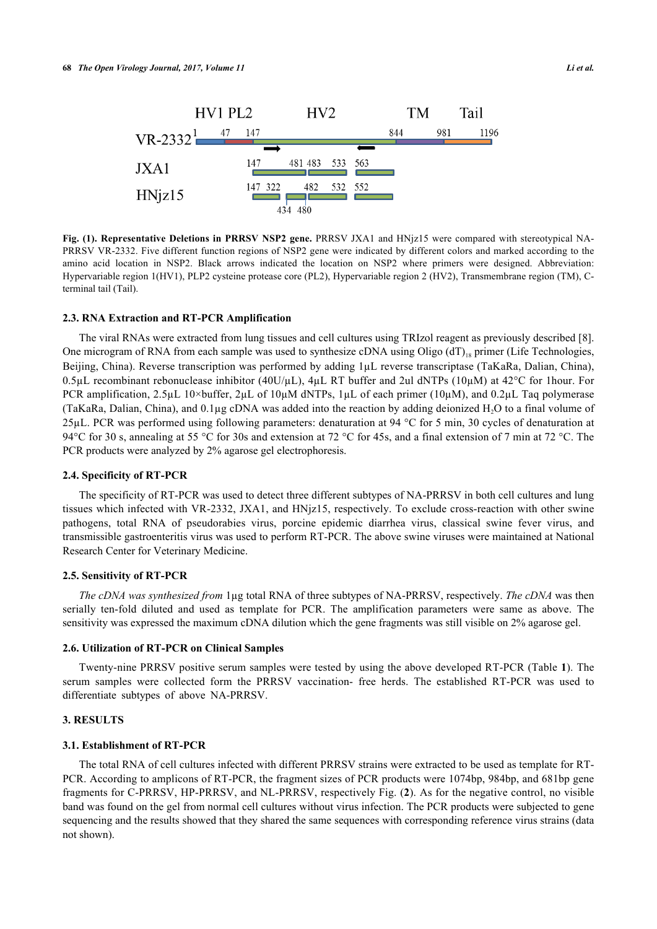

**Fig. (1). Representative Deletions in PRRSV NSP2 gene.** PRRSV JXA1 and HNjz15 were compared with stereotypical NA-PRRSV VR-2332. Five different function regions of NSP2 gene were indicated by different colors and marked according to the amino acid location in NSP2. Black arrows indicated the location on NSP2 where primers were designed. Abbreviation: Hypervariable region 1(HV1), PLP2 cysteine protease core (PL2), Hypervariable region 2 (HV2), Transmembrane region (TM), Cterminal tail (Tail).

#### **2.3. RNA Extraction and RT-PCR Amplification**

The viral RNAs were extracted from lung tissues and cell cultures using TRIzol reagent as previously described [[8\]](#page-5-7). One microgram of RNA from each sample was used to synthesize cDNA using Oligo  $(dT)_{18}$  primer (Life Technologies, Beijing, China). Reverse transcription was performed by adding 1µL reverse transcriptase (TaKaRa, Dalian, China), 0.5µL recombinant rebonuclease inhibitor (40U/µL), 4µL RT buffer and 2ul dNTPs (10µM) at 42°C for 1hour. For PCR amplification, 2.5µL 10×buffer, 2µL of 10µM dNTPs, 1µL of each primer (10µM), and 0.2µL Taq polymerase (TaKaRa, Dalian, China), and 0.1µg cDNA was added into the reaction by adding deionized H2O to a final volume of 25µL. PCR was performed using following parameters: denaturation at 94 °C for 5 min, 30 cycles of denaturation at 94°C for 30 s, annealing at 55 °C for 30s and extension at 72 °C for 45s, and a final extension of 7 min at 72 °C. The PCR products were analyzed by 2% agarose gel electrophoresis.

#### **2.4. Specificity of RT-PCR**

The specificity of RT-PCR was used to detect three different subtypes of NA-PRRSV in both cell cultures and lung tissues which infected with VR-2332, JXA1, and HNjz15, respectively. To exclude cross-reaction with other swine pathogens, total RNA of pseudorabies virus, porcine epidemic diarrhea virus, classical swine fever virus, and transmissible gastroenteritis virus was used to perform RT-PCR. The above swine viruses were maintained at National Research Center for Veterinary Medicine.

#### **2.5. Sensitivity of RT-PCR**

*The cDNA was synthesized from* 1µg total RNA of three subtypes of NA-PRRSV, respectively. *The cDNA* was then serially ten-fold diluted and used as template for PCR. The amplification parameters were same as above. The sensitivity was expressed the maximum cDNA dilution which the gene fragments was still visible on 2% agarose gel.

#### **2.6. Utilization of RT-PCR on Clinical Samples**

Twenty-nine PRRSV positive serum samples were tested by using the above developed RT-PCR (Table **[1](#page-1-1)**). The serum samples were collected form the PRRSV vaccination- free herds. The established RT-PCR was used to differentiate subtypes of above NA-PRRSV.

#### **3. RESULTS**

#### **3.1. Establishment of RT-PCR**

<span id="page-2-0"></span>The total RNA of cell cultures infected with different PRRSV strains were extracted to be used as template for RT-PCR. According to amplicons of RT-PCR, the fragment sizes of PCR products were 1074bp, 984bp, and 681bp gene fragments for C-PRRSV, HP-PRRSV, and NL-PRRSV, respectively Fig. (**[2](#page-2-0)**). As for the negative control, no visible band was found on the gel from normal cell cultures without virus infection. The PCR products were subjected to gene sequencing and the results showed that they shared the same sequences with corresponding reference virus strains (data not shown).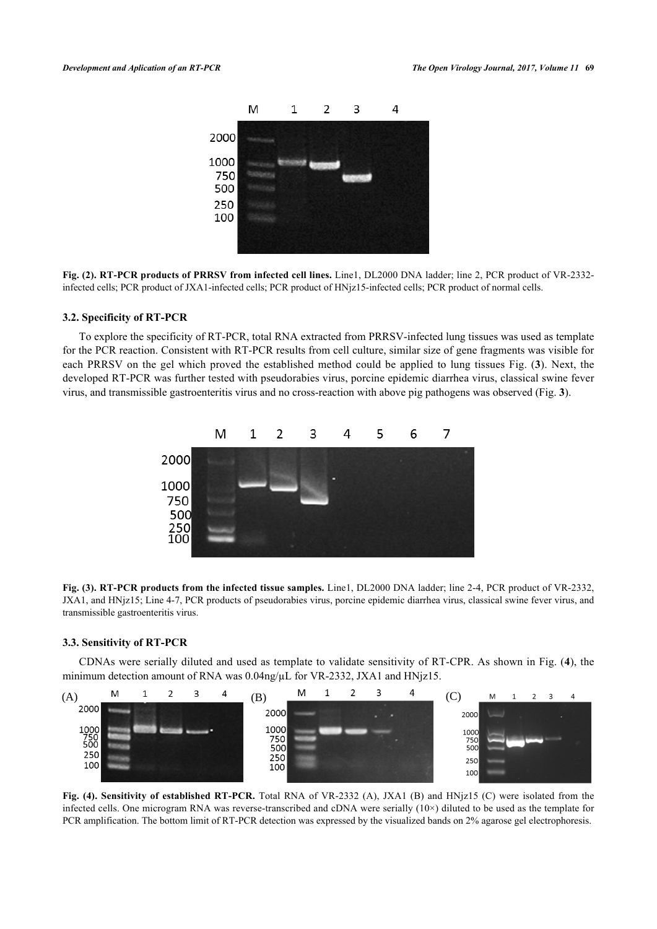

**Fig. (2). RT-PCR products of PRRSV from infected cell lines.** Line1, DL2000 DNA ladder; line 2, PCR product of VR-2332 infected cells; PCR product of JXA1-infected cells; PCR product of HNjz15-infected cells; PCR product of normal cells.

#### **3.2. Specificity of RT-PCR**

<span id="page-3-0"></span>To explore the specificity of RT-PCR, total RNA extracted from PRRSV-infected lung tissues was used as template for the PCR reaction. Consistent with RT-PCR results from cell culture, similar size of gene fragments was visible for each PRRSV on the gel which proved the established method could be applied to lung tissues Fig. (**[3](#page-3-0)**). Next, the developed RT-PCR was further tested with pseudorabies virus, porcine epidemic diarrhea virus, classical swine fever virus, and transmissible gastroenteritis virus and no cross-reaction with above pig pathogens was observed (Fig. **[3](#page-3-0)**).



**Fig. (3). RT-PCR products from the infected tissue samples.** Line1, DL2000 DNA ladder; line 2-4, PCR product of VR-2332, JXA1, and HNjz15; Line 4-7, PCR products of pseudorabies virus, porcine epidemic diarrhea virus, classical swine fever virus, and transmissible gastroenteritis virus.

#### **3.3. Sensitivity of RT-PCR**

CDNAs were serially diluted and used as template to validate sensitivity of RT-CPR. As shown in Fig. (**[4](#page-3-1)**), the minimum detection amount of RNA was  $0.04$ ng/ $\mu$ L for VR-2332, JXA1 and HNjz15.

<span id="page-3-1"></span>

**Fig. (4). Sensitivity of established RT-PCR.** Total RNA of VR-2332 (A), JXA1 (B) and HNjz15 (C) were isolated from the infected cells. One microgram RNA was reverse-transcribed and cDNA were serially  $(10\times)$  diluted to be used as the template for PCR amplification. The bottom limit of RT-PCR detection was expressed by the visualized bands on 2% agarose gel electrophoresis.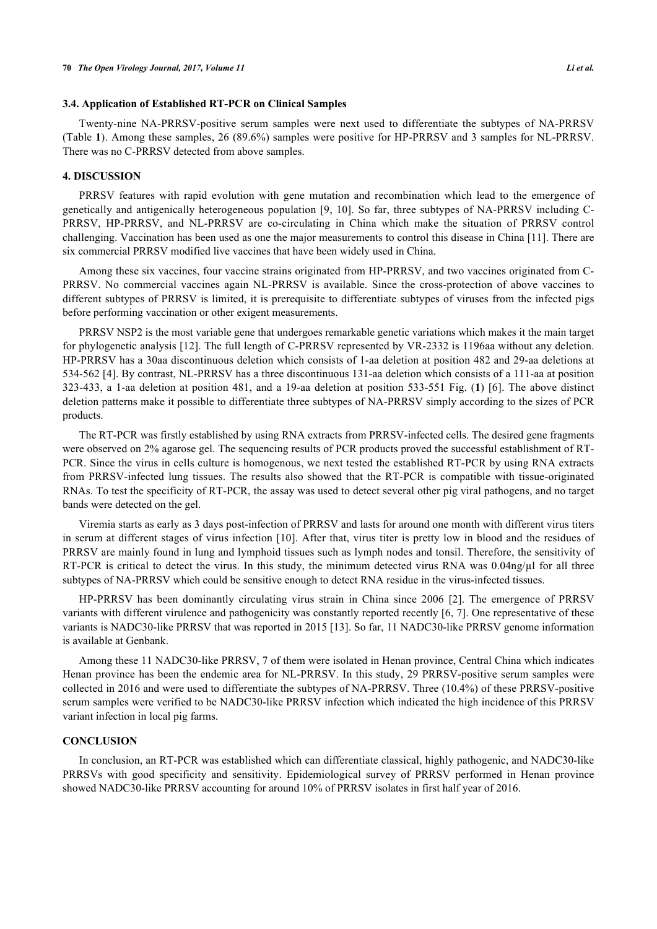#### **3.4. Application of Established RT-PCR on Clinical Samples**

Twenty-nine NA-PRRSV-positive serum samples were next used to differentiate the subtypes of NA-PRRSV (Table **[1](#page-1-1)**). Among these samples, 26 (89.6%) samples were positive for HP-PRRSV and 3 samples for NL-PRRSV. There was no C-PRRSV detected from above samples.

#### **4. DISCUSSION**

PRRSV features with rapid evolution with gene mutation and recombination which lead to the emergence of genetically and antigenically heterogeneous population [[9,](#page-5-8) [10](#page-5-9)]. So far, three subtypes of NA-PRRSV including C-PRRSV, HP-PRRSV, and NL-PRRSV are co-circulating in China which make the situation of PRRSV control challenging. Vaccination has been used as one the major measurements to control this disease in China [\[11](#page-5-10)]. There are six commercial PRRSV modified live vaccines that have been widely used in China.

Among these six vaccines, four vaccine strains originated from HP-PRRSV, and two vaccines originated from C-PRRSV. No commercial vaccines again NL-PRRSV is available. Since the cross-protection of above vaccines to different subtypes of PRRSV is limited, it is prerequisite to differentiate subtypes of viruses from the infected pigs before performing vaccination or other exigent measurements.

PRRSV NSP2 is the most variable gene that undergoes remarkable genetic variations which makes it the main target for phylogenetic analysis [\[12](#page-5-11)]. The full length of C-PRRSV represented by VR-2332 is 1196aa without any deletion. HP-PRRSV has a 30aa discontinuous deletion which consists of 1-aa deletion at position 482 and 29-aa deletions at 534-562 [[4\]](#page-5-3). By contrast, NL-PRRSV has a three discontinuous 131-aa deletion which consists of a 111-aa at position 323-433, a 1-aa deletion at position 481, and a 19-aa deletion at position 533-551 Fig. (**[1](#page-1-0)**) [\[6](#page-5-5)]. The above distinct deletion patterns make it possible to differentiate three subtypes of NA-PRRSV simply according to the sizes of PCR products.

The RT-PCR was firstly established by using RNA extracts from PRRSV-infected cells. The desired gene fragments were observed on 2% agarose gel. The sequencing results of PCR products proved the successful establishment of RT-PCR. Since the virus in cells culture is homogenous, we next tested the established RT-PCR by using RNA extracts from PRRSV-infected lung tissues. The results also showed that the RT-PCR is compatible with tissue-originated RNAs. To test the specificity of RT-PCR, the assay was used to detect several other pig viral pathogens, and no target bands were detected on the gel.

Viremia starts as early as 3 days post-infection of PRRSV and lasts for around one month with different virus titers in serum at different stages of virus infection [[10](#page-5-9)]. After that, virus titer is pretty low in blood and the residues of PRRSV are mainly found in lung and lymphoid tissues such as lymph nodes and tonsil. Therefore, the sensitivity of RT-PCR is critical to detect the virus. In this study, the minimum detected virus RNA was 0.04ng/µl for all three subtypes of NA-PRRSV which could be sensitive enough to detect RNA residue in the virus-infected tissues.

HP-PRRSV has been dominantly circulating virus strain in China since 2006[[2](#page-5-1)]. The emergence of PRRSV variants with different virulence and pathogenicity was constantly reported recently [\[6,](#page-5-5) [7\]](#page-5-6). One representative of these variants is NADC30-like PRRSV that was reported in 2015 [\[13\]](#page-6-0). So far, 11 NADC30-like PRRSV genome information is available at Genbank.

Among these 11 NADC30-like PRRSV, 7 of them were isolated in Henan province, Central China which indicates Henan province has been the endemic area for NL-PRRSV. In this study, 29 PRRSV-positive serum samples were collected in 2016 and were used to differentiate the subtypes of NA-PRRSV. Three (10.4%) of these PRRSV-positive serum samples were verified to be NADC30-like PRRSV infection which indicated the high incidence of this PRRSV variant infection in local pig farms.

## **CONCLUSION**

In conclusion, an RT-PCR was established which can differentiate classical, highly pathogenic, and NADC30-like PRRSVs with good specificity and sensitivity. Epidemiological survey of PRRSV performed in Henan province showed NADC30-like PRRSV accounting for around 10% of PRRSV isolates in first half year of 2016.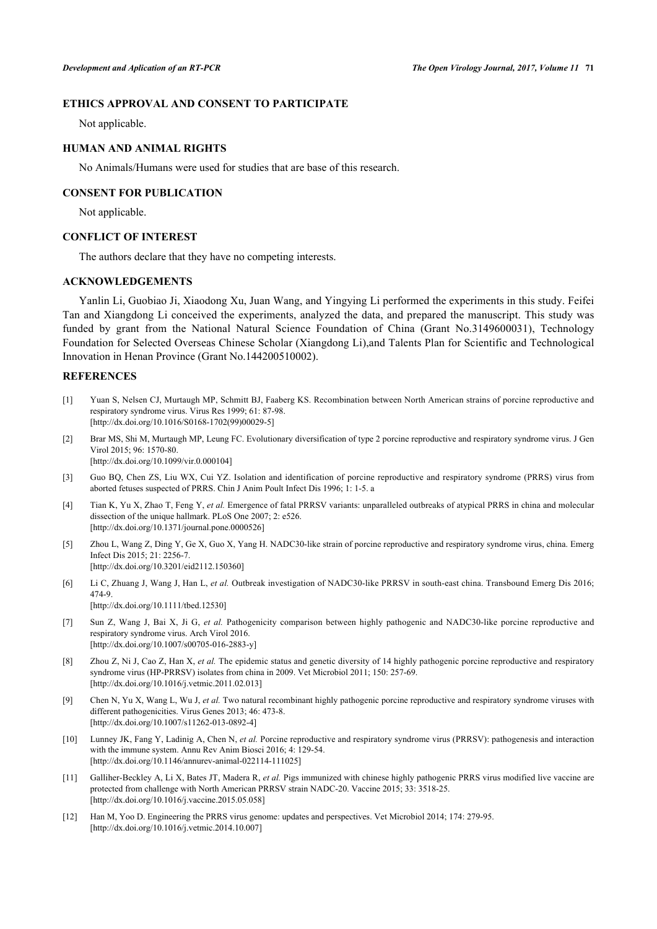## **ETHICS APPROVAL AND CONSENT TO PARTICIPATE**

Not applicable.

#### **HUMAN AND ANIMAL RIGHTS**

No Animals/Humans were used for studies that are base of this research.

#### **CONSENT FOR PUBLICATION**

Not applicable.

## **CONFLICT OF INTEREST**

The authors declare that they have no competing interests.

#### **ACKNOWLEDGEMENTS**

Yanlin Li, Guobiao Ji, Xiaodong Xu, Juan Wang, and Yingying Li performed the experiments in this study. Feifei Tan and Xiangdong Li conceived the experiments, analyzed the data, and prepared the manuscript. This study was funded by grant from the National Natural Science Foundation of China (Grant No.3149600031), Technology Foundation for Selected Overseas Chinese Scholar (Xiangdong Li),and Talents Plan for Scientific and Technological Innovation in Henan Province (Grant No.144200510002).

## **REFERENCES**

- <span id="page-5-0"></span>[1] Yuan S, Nelsen CJ, Murtaugh MP, Schmitt BJ, Faaberg KS. Recombination between North American strains of porcine reproductive and respiratory syndrome virus. Virus Res 1999; 61: 87-98. [\[http://dx.doi.org/10.1016/S0168-1702\(99\)00029-5\]](http://dx.doi.org/10.1016/S0168-1702(99)00029-5)
- <span id="page-5-1"></span>[2] Brar MS, Shi M, Murtaugh MP, Leung FC. Evolutionary diversification of type 2 porcine reproductive and respiratory syndrome virus. J Gen Virol 2015; 96: 1570-80. [\[http://dx.doi.org/10.1099/vir.0.000104\]](http://dx.doi.org/10.1099/vir.0.000104)
- <span id="page-5-2"></span>[3] Guo BQ, Chen ZS, Liu WX, Cui YZ. Isolation and identification of porcine reproductive and respiratory syndrome (PRRS) virus from aborted fetuses suspected of PRRS. Chin J Anim Poult Infect Dis 1996; 1: 1-5. a
- <span id="page-5-3"></span>[4] Tian K, Yu X, Zhao T, Feng Y, *et al.* Emergence of fatal PRRSV variants: unparalleled outbreaks of atypical PRRS in china and molecular dissection of the unique hallmark. PLoS One 2007; 2: e526.  $[http://dx.doi.org/10.1371/journal.pone.0000526]$  $[http://dx.doi.org/10.1371/journal.pone.0000526]$
- <span id="page-5-4"></span>[5] Zhou L, Wang Z, Ding Y, Ge X, Guo X, Yang H. NADC30-like strain of porcine reproductive and respiratory syndrome virus, china. Emerg Infect Dis 2015; 21: 2256-7. [\[http://dx.doi.org/10.3201/eid2112.150360\]](http://dx.doi.org/10.3201/eid2112.150360)
- <span id="page-5-5"></span>[6] Li C, Zhuang J, Wang J, Han L, *et al.* Outbreak investigation of NADC30-like PRRSV in south-east china. Transbound Emerg Dis 2016; 474-9. [\[http://dx.doi.org/10.1111/tbed.12530\]](http://dx.doi.org/10.1111/tbed.12530)
- <span id="page-5-6"></span>[7] Sun Z, Wang J, Bai X, Ji G, *et al.* Pathogenicity comparison between highly pathogenic and NADC30-like porcine reproductive and respiratory syndrome virus. Arch Virol 2016. [\[http://dx.doi.org/10.1007/s00705-016-2883-y\]](http://dx.doi.org/10.1007/s00705-016-2883-y)
- <span id="page-5-7"></span>[8] Zhou Z, Ni J, Cao Z, Han X, *et al.* The epidemic status and genetic diversity of 14 highly pathogenic porcine reproductive and respiratory syndrome virus (HP-PRRSV) isolates from china in 2009. Vet Microbiol 2011; 150: 257-69. [\[http://dx.doi.org/10.1016/j.vetmic.2011.02.013\]](http://dx.doi.org/10.1016/j.vetmic.2011.02.013)
- <span id="page-5-8"></span>[9] Chen N, Yu X, Wang L, Wu J, *et al.* Two natural recombinant highly pathogenic porcine reproductive and respiratory syndrome viruses with different pathogenicities. Virus Genes 2013; 46: 473-8. [\[http://dx.doi.org/10.1007/s11262-013-0892-4\]](http://dx.doi.org/10.1007/s11262-013-0892-4)
- <span id="page-5-9"></span>[10] Lunney JK, Fang Y, Ladinig A, Chen N, *et al.* Porcine reproductive and respiratory syndrome virus (PRRSV): pathogenesis and interaction with the immune system. Annu Rev Anim Biosci 2016; 4: 129-54. [\[http://dx.doi.org/10.1146/annurev-animal-022114-111025](http://dx.doi.org/10.1146/annurev-animal-022114-111025)]
- <span id="page-5-10"></span>[11] Galliher-Beckley A, Li X, Bates JT, Madera R, *et al.* Pigs immunized with chinese highly pathogenic PRRS virus modified live vaccine are protected from challenge with North American PRRSV strain NADC-20. Vaccine 2015; 33: 3518-25. [\[http://dx.doi.org/10.1016/j.vaccine.2015.05.058](http://dx.doi.org/10.1016/j.vaccine.2015.05.058)]
- <span id="page-5-11"></span>[12] Han M, Yoo D. Engineering the PRRS virus genome: updates and perspectives. Vet Microbiol 2014; 174: 279-95. [\[http://dx.doi.org/10.1016/j.vetmic.2014.10.007\]](http://dx.doi.org/10.1016/j.vetmic.2014.10.007)